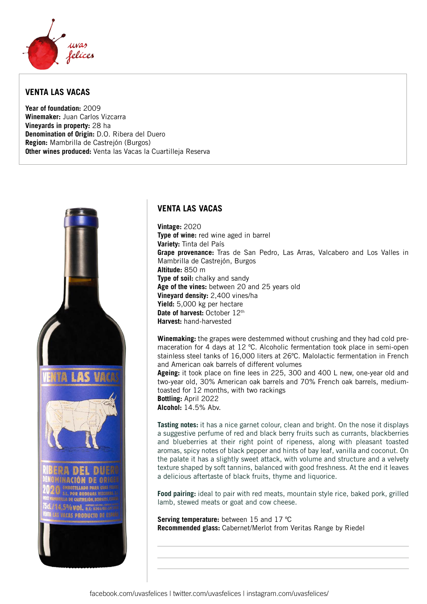

## **VENTA LAS VACAS**

**Year of foundation:** 2009 **Winemaker:** Juan Carlos Vizcarra **Vineyards in property:** 28 ha **Denomination of Origin:** D.O. Ribera del Duero **Region:** Mambrilla de Castrejón (Burgos) **Other wines produced:** Venta las Vacas la Cuartilleja Reserva



## **VENTA LAS VACAS**

**Vintage:** 2020 **Type of wine:** red wine aged in barrel **Variety:** Tinta del País **Grape provenance:** Tras de San Pedro, Las Arras, Valcabero and Los Valles in Mambrilla de Castrejón, Burgos **Altitude:** 850 m **Type of soil:** chalky and sandy **Age of the vines:** between 20 and 25 years old **Vineyard density:** 2,400 vines/ha **Yield:** 5,000 kg per hectare **Date of harvest: October 12th Harvest:** hand-harvested

**Winemaking:** the grapes were destemmed without crushing and they had cold premaceration for 4 days at 12 ºC. Alcoholic fermentation took place in semi-open stainless steel tanks of 16,000 liters at 26ºC. Malolactic fermentation in French and American oak barrels of different volumes

**Ageing:** it took place on fine lees in 225, 300 and 400 L new, one-year old and two-year old, 30% American oak barrels and 70% French oak barrels, mediumtoasted for 12 months, with two rackings **Bottling:** April 2022

**Alcohol:** 14.5% Abv.

**Tasting notes:** it has a nice garnet colour, clean and bright. On the nose it displays a suggestive perfume of red and black berry fruits such as currants, blackberries and blueberries at their right point of ripeness, along with pleasant toasted aromas, spicy notes of black pepper and hints of bay leaf, vanilla and coconut. On the palate it has a slightly sweet attack, with volume and structure and a velvety texture shaped by soft tannins, balanced with good freshness. At the end it leaves a delicious aftertaste of black fruits, thyme and liquorice.

**Food pairing:** ideal to pair with red meats, mountain style rice, baked pork, grilled lamb, stewed meats or goat and cow cheese.

**Serving temperature:** between 15 and 17 ºC **Recommended glass:** Cabernet/Merlot from Veritas Range by Riedel